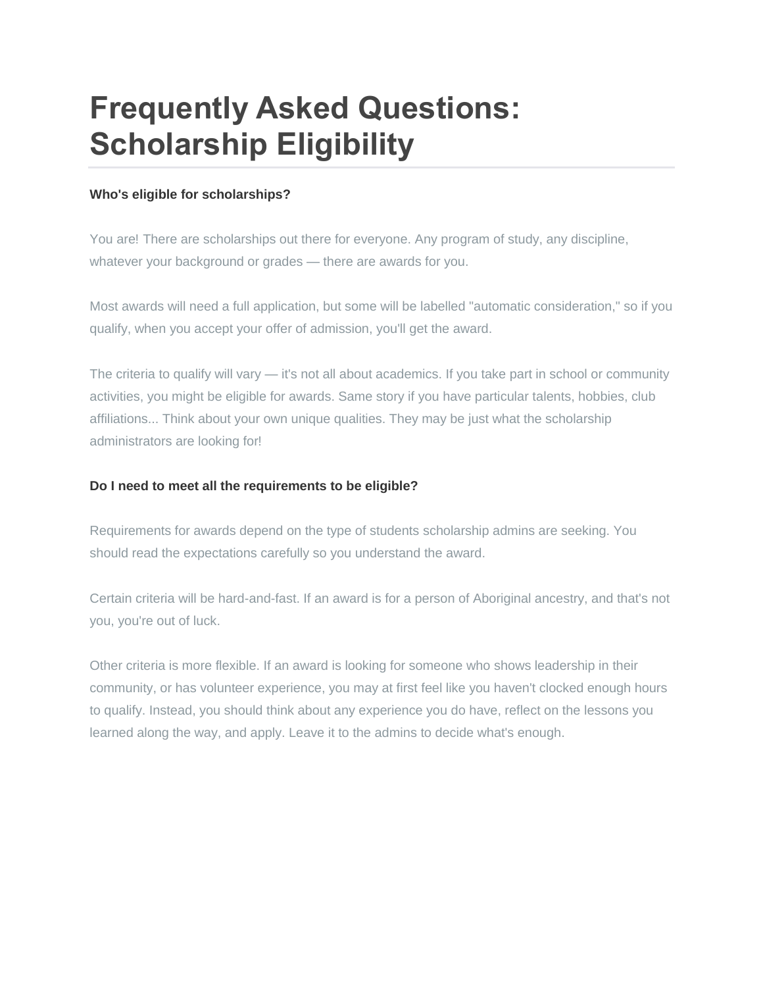# **Frequently Asked Questions: Scholarship Eligibility**

## **Who's eligible for scholarships?**

You are! There are scholarships out there for everyone. Any program of study, any discipline, whatever your background or grades — there are awards for you.

Most awards will need a full application, but some will be labelled "automatic consideration," so if you qualify, when you accept your offer of admission, you'll get the award.

The criteria to qualify will vary — it's not all about academics. If you take part in school or community activities, you might be eligible for awards. Same story if you have particular talents, hobbies, club affiliations... Think about your own unique qualities. They may be just what the scholarship administrators are looking for!

## **Do I need to meet all the requirements to be eligible?**

Requirements for awards depend on the type of students scholarship admins are seeking. You should read the expectations carefully so you understand the award.

Certain criteria will be hard-and-fast. If an award is for a person of Aboriginal ancestry, and that's not you, you're out of luck.

Other criteria is more flexible. If an award is looking for someone who shows leadership in their community, or has volunteer experience, you may at first feel like you haven't clocked enough hours to qualify. Instead, you should think about any experience you do have, reflect on the lessons you learned along the way, and apply. Leave it to the admins to decide what's enough.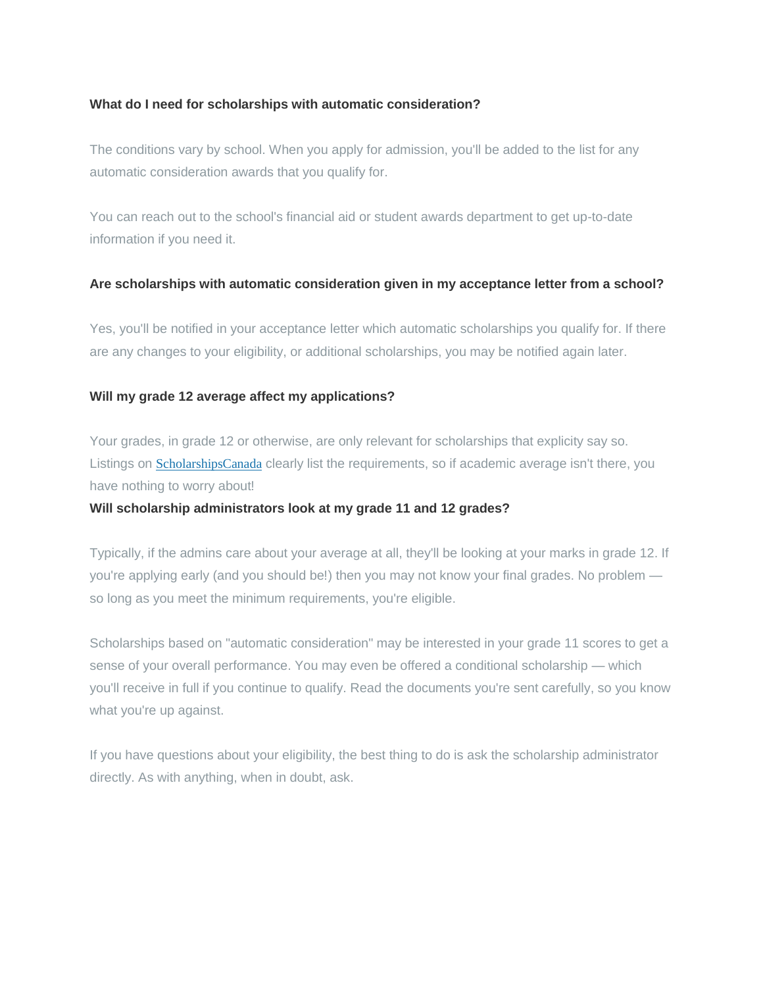#### **What do I need for scholarships with automatic consideration?**

The conditions vary by school. When you apply for admission, you'll be added to the list for any automatic consideration awards that you qualify for.

You can reach out to the school's financial aid or student awards department to get up-to-date information if you need it.

#### **Are scholarships with automatic consideration given in my acceptance letter from a school?**

Yes, you'll be notified in your acceptance letter which automatic scholarships you qualify for. If there are any changes to your eligibility, or additional scholarships, you may be notified again later.

#### **Will my grade 12 average affect my applications?**

Your grades, in grade 12 or otherwise, are only relevant for scholarships that explicity say so. Listings on [ScholarshipsCanada](https://www.scholarshipscanada.com/Index.aspx) clearly list the requirements, so if academic average isn't there, you have nothing to worry about!

#### **Will scholarship administrators look at my grade 11 and 12 grades?**

Typically, if the admins care about your average at all, they'll be looking at your marks in grade 12. If you're applying early (and you should be!) then you may not know your final grades. No problem so long as you meet the minimum requirements, you're eligible.

Scholarships based on "automatic consideration" may be interested in your grade 11 scores to get a sense of your overall performance. You may even be offered a conditional scholarship — which you'll receive in full if you continue to qualify. Read the documents you're sent carefully, so you know what you're up against.

If you have questions about your eligibility, the best thing to do is ask the scholarship administrator directly. As with anything, when in doubt, ask.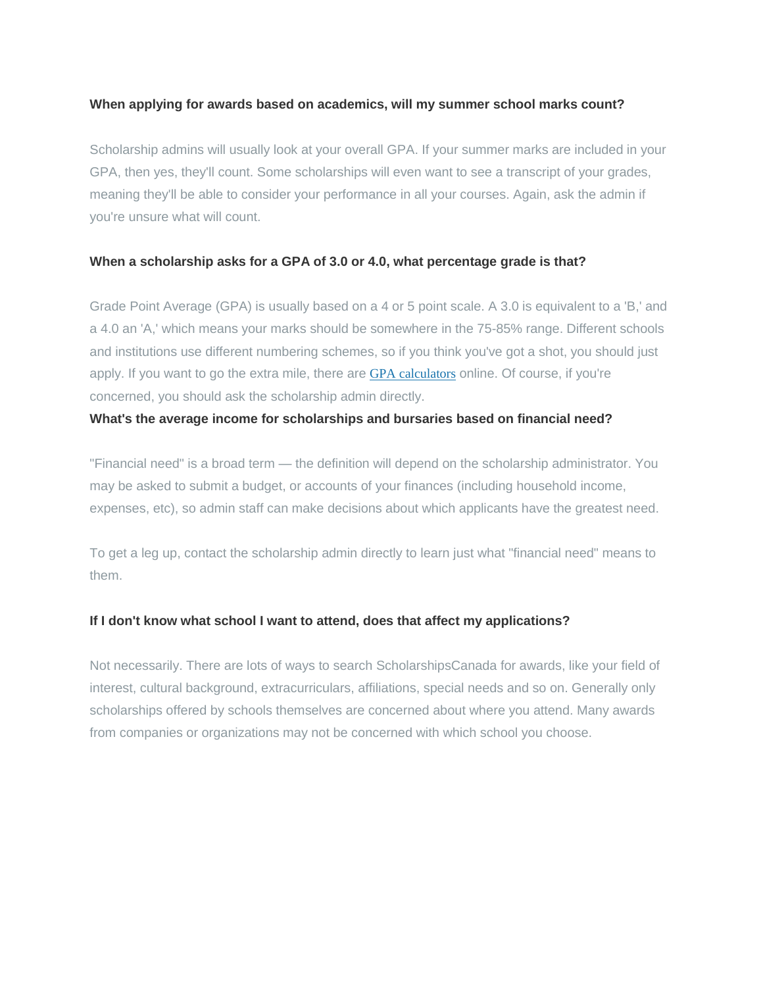#### **When applying for awards based on academics, will my summer school marks count?**

Scholarship admins will usually look at your overall GPA. If your summer marks are included in your GPA, then yes, they'll count. Some scholarships will even want to see a transcript of your grades, meaning they'll be able to consider your performance in all your courses. Again, ask the admin if you're unsure what will count.

#### **When a scholarship asks for a GPA of 3.0 or 4.0, what percentage grade is that?**

Grade Point Average (GPA) is usually based on a 4 or 5 point scale. A 3.0 is equivalent to a 'B,' and a 4.0 an 'A,' which means your marks should be somewhere in the 75-85% range. Different schools and institutions use different numbering schemes, so if you think you've got a shot, you should just apply. If you want to go the extra mile, there are GPA [calculators](https://gpacalculator.net/) online. Of course, if you're concerned, you should ask the scholarship admin directly.

#### **What's the average income for scholarships and bursaries based on financial need?**

"Financial need" is a broad term — the definition will depend on the scholarship administrator. You may be asked to submit a budget, or accounts of your finances (including household income, expenses, etc), so admin staff can make decisions about which applicants have the greatest need.

To get a leg up, contact the scholarship admin directly to learn just what "financial need" means to them.

#### **If I don't know what school I want to attend, does that affect my applications?**

Not necessarily. There are lots of ways to search ScholarshipsCanada for awards, like your field of interest, cultural background, extracurriculars, affiliations, special needs and so on. Generally only scholarships offered by schools themselves are concerned about where you attend. Many awards from companies or organizations may not be concerned with which school you choose.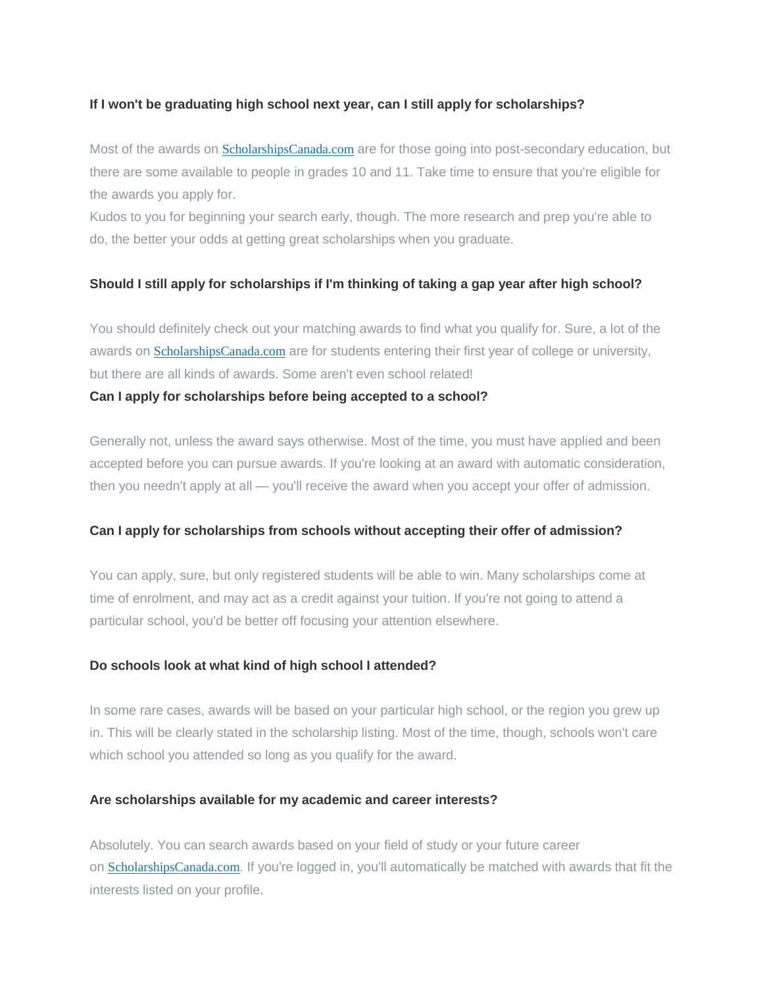#### **If I won't be graduating high school next year, can I still apply for scholarships?**

Most of the awards on **[ScholarshipsCanada.com](https://www.scholarshipscanada.com/)** are for those going into post-secondary education, but there are some available to people in grades 10 and 11. Take time to ensure that you're eligible for the awards you apply for.

Kudos to you for beginning your search early, though. The more research and prep you're able to do, the better your odds at getting great scholarships when you graduate.

### **Should I still apply for scholarships if I'm thinking of taking a gap year after high school?**

You should definitely check out your matching awards to find what you qualify for. Sure, a lot of the awards on [ScholarshipsCanada.com](https://www.scholarshipscanada.com/) are for students entering their first year of college or university, but there are all kinds of awards. Some aren't even school related!

#### **Can I apply for scholarships before being accepted to a school?**

Generally not, unless the award says otherwise. Most of the time, you must have applied and been accepted before you can pursue awards. If you're looking at an award with automatic consideration, then you needn't apply at all — you'll receive the award when you accept your offer of admission.

#### **Can I apply for scholarships from schools without accepting their offer of admission?**

You can apply, sure, but only registered students will be able to win. Many scholarships come at time of enrolment, and may act as a credit against your tuition. If you're not going to attend a particular school, you'd be better off focusing your attention elsewhere.

#### **Do schools look at what kind of high school I attended?**

In some rare cases, awards will be based on your particular high school, or the region you grew up in. This will be clearly stated in the scholarship listing. Most of the time, though, schools won't care which school you attended so long as you qualify for the award.

#### **Are scholarships available for my academic and career interests?**

Absolutely. You can search awards based on your field of study or your future career on [ScholarshipsCanada.com](https://www.scholarshipscanada.com/). If you're logged in, you'll automatically be matched with awards that fit the interests listed on your profile.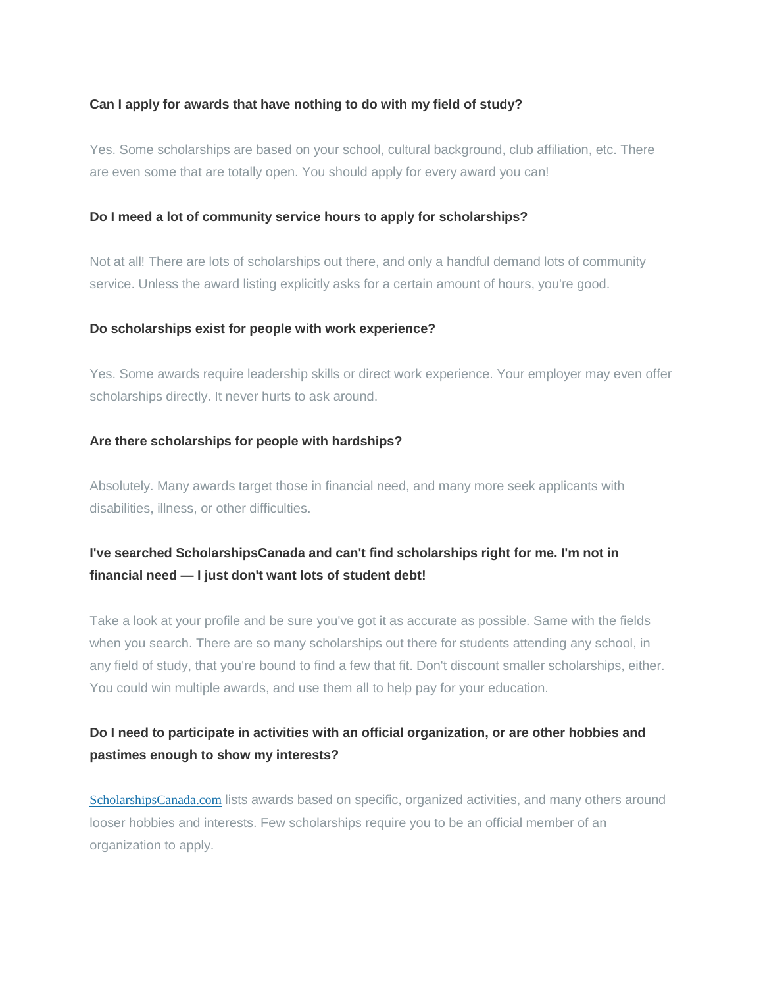#### **Can I apply for awards that have nothing to do with my field of study?**

Yes. Some scholarships are based on your school, cultural background, club affiliation, etc. There are even some that are totally open. You should apply for every award you can!

#### **Do I meed a lot of community service hours to apply for scholarships?**

Not at all! There are lots of scholarships out there, and only a handful demand lots of community service. Unless the award listing explicitly asks for a certain amount of hours, you're good.

#### **Do scholarships exist for people with work experience?**

Yes. Some awards require leadership skills or direct work experience. Your employer may even offer scholarships directly. It never hurts to ask around.

#### **Are there scholarships for people with hardships?**

Absolutely. Many awards target those in financial need, and many more seek applicants with disabilities, illness, or other difficulties.

# **I've searched ScholarshipsCanada and can't find scholarships right for me. I'm not in financial need — I just don't want lots of student debt!**

Take a look at your profile and be sure you've got it as accurate as possible. Same with the fields when you search. There are so many scholarships out there for students attending any school, in any field of study, that you're bound to find a few that fit. Don't discount smaller scholarships, either. You could win multiple awards, and use them all to help pay for your education.

# **Do I need to participate in activities with an official organization, or are other hobbies and pastimes enough to show my interests?**

[ScholarshipsCanada.com](https://www.scholarshipscanada.com/) lists awards based on specific, organized activities, and many others around looser hobbies and interests. Few scholarships require you to be an official member of an organization to apply.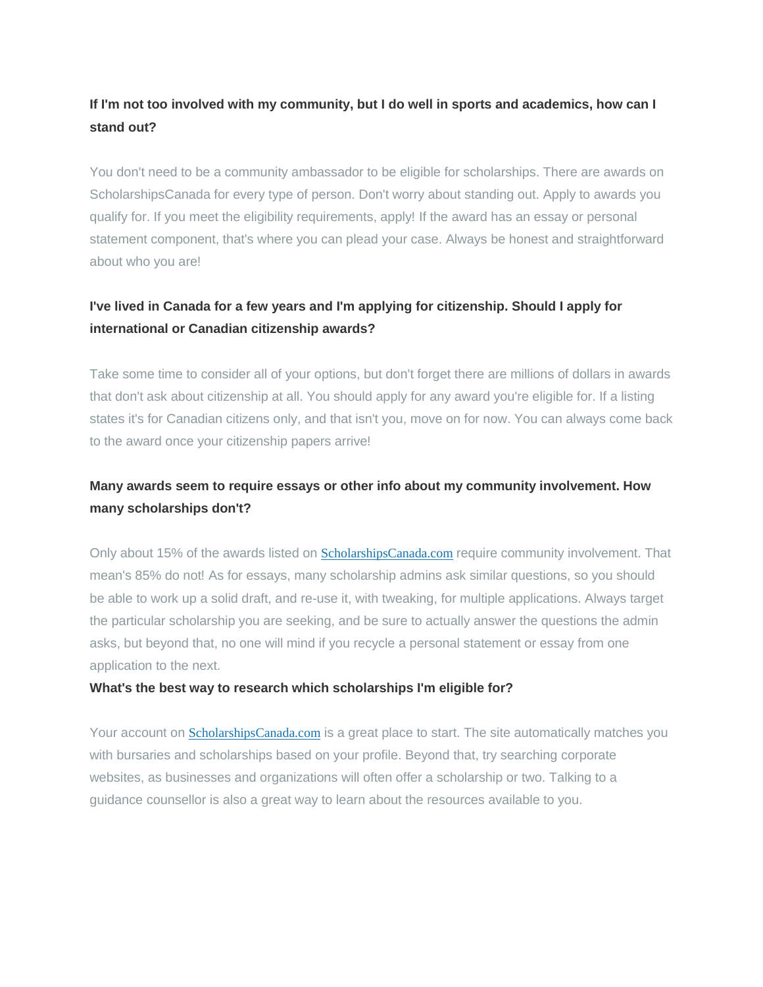# **If I'm not too involved with my community, but I do well in sports and academics, how can I stand out?**

You don't need to be a community ambassador to be eligible for scholarships. There are awards on ScholarshipsCanada for every type of person. Don't worry about standing out. Apply to awards you qualify for. If you meet the eligibility requirements, apply! If the award has an essay or personal statement component, that's where you can plead your case. Always be honest and straightforward about who you are!

# **I've lived in Canada for a few years and I'm applying for citizenship. Should I apply for international or Canadian citizenship awards?**

Take some time to consider all of your options, but don't forget there are millions of dollars in awards that don't ask about citizenship at all. You should apply for any award you're eligible for. If a listing states it's for Canadian citizens only, and that isn't you, move on for now. You can always come back to the award once your citizenship papers arrive!

# **Many awards seem to require essays or other info about my community involvement. How many scholarships don't?**

Only about 15% of the awards listed on **[ScholarshipsCanada.com](https://www.scholarshipscanada.com/)** require community involvement. That mean's 85% do not! As for essays, many scholarship admins ask similar questions, so you should be able to work up a solid draft, and re-use it, with tweaking, for multiple applications. Always target the particular scholarship you are seeking, and be sure to actually answer the questions the admin asks, but beyond that, no one will mind if you recycle a personal statement or essay from one application to the next.

#### **What's the best way to research which scholarships I'm eligible for?**

Your account on [ScholarshipsCanada.com](https://www.scholarshipscanada.com/) is a great place to start. The site automatically matches you with bursaries and scholarships based on your profile. Beyond that, try searching corporate websites, as businesses and organizations will often offer a scholarship or two. Talking to a guidance counsellor is also a great way to learn about the resources available to you.